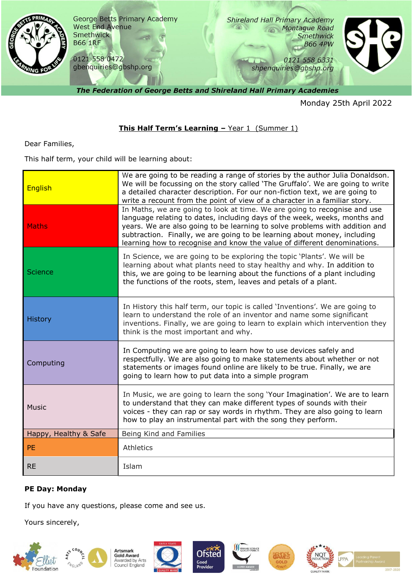

Monday 25th April 2022

## **This Half Term's Learning - Year 1 (Summer 1)**

Dear Families,

This half term, your child will be learning about:

| <b>English</b>        | We are going to be reading a range of stories by the author Julia Donaldson.<br>We will be focussing on the story called 'The Gruffalo'. We are going to write<br>a detailed character description. For our non-fiction text, we are going to<br>write a recount from the point of view of a character in a familiar story.                                                                   |
|-----------------------|-----------------------------------------------------------------------------------------------------------------------------------------------------------------------------------------------------------------------------------------------------------------------------------------------------------------------------------------------------------------------------------------------|
| <b>Maths</b>          | In Maths, we are going to look at time. We are going to recognise and use<br>language relating to dates, including days of the week, weeks, months and<br>years. We are also going to be learning to solve problems with addition and<br>subtraction. Finally, we are going to be learning about money, including<br>learning how to recognise and know the value of different denominations. |
| Science               | In Science, we are going to be exploring the topic 'Plants'. We will be<br>learning about what plants need to stay healthy and why. In addition to<br>this, we are going to be learning about the functions of a plant including<br>the functions of the roots, stem, leaves and petals of a plant.                                                                                           |
| History               | In History this half term, our topic is called 'Inventions'. We are going to<br>learn to understand the role of an inventor and name some significant<br>inventions. Finally, we are going to learn to explain which intervention they<br>think is the most important and why.                                                                                                                |
| Computing             | In Computing we are going to learn how to use devices safely and<br>respectfully. We are also going to make statements about whether or not<br>statements or images found online are likely to be true. Finally, we are<br>going to learn how to put data into a simple program                                                                                                               |
| <b>Music</b>          | In Music, we are going to learn the song 'Your Imagination'. We are to learn<br>to understand that they can make different types of sounds with their<br>voices - they can rap or say words in rhythm. They are also going to learn<br>how to play an instrumental part with the song they perform.                                                                                           |
| Happy, Healthy & Safe | Being Kind and Families                                                                                                                                                                                                                                                                                                                                                                       |
| <b>PE</b>             | Athletics                                                                                                                                                                                                                                                                                                                                                                                     |
| <b>RE</b>             | Islam                                                                                                                                                                                                                                                                                                                                                                                         |

## **PE Day: Monday**

If you have any questions, please come and see us.

Yours sincerely,